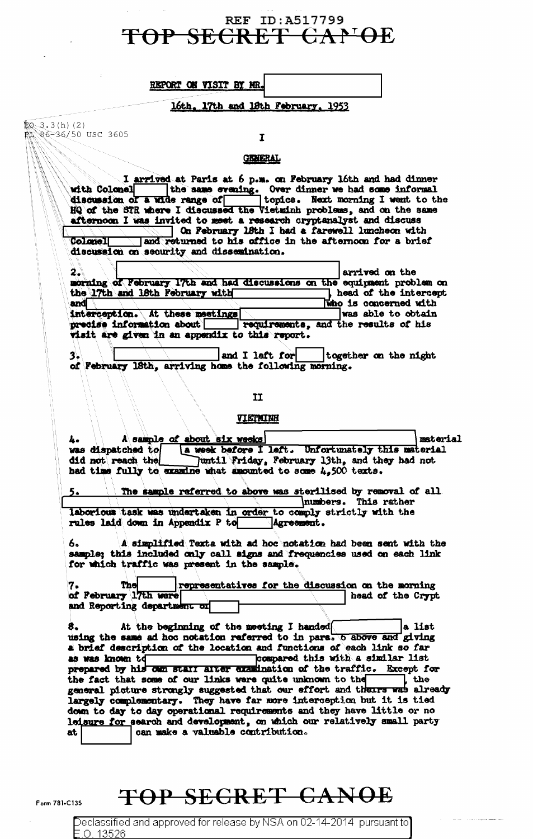### REF ID: A517799 TOP SECRET CANG

| REPORT ON VISIT BY MR. |  |  |
|------------------------|--|--|

#### 16th, 17th and 18th February, 1953

 $$0.3.3(h)(2)$ 86-36/50 USC 3605

## $\overline{1}$

#### **GENERAL**

I arrived at Paris at 6 p.m. on February 16th and had dinner<br>hell indicates are evening. Over dinner we had some informal<br>hof a wide range of topics. Next morning I went to the with Colonel discussion of a wide range of HQ of the STR where I discussed the Vietminh problems, and on the same afternoon I was invited to meet a research cryptanalyst and discuss On February 18th I had a farewell luncheon with and returned to his office in the afternoon for a brief Colonall

discussion on security and dissemination.

| 2.3 | -31 |                                 |                                                                          | arrived on the        |                       |
|-----|-----|---------------------------------|--------------------------------------------------------------------------|-----------------------|-----------------------|
|     |     |                                 | morning of February 17th and had discussions on the equipment problem on |                       |                       |
|     |     | the 17th and 18th February with |                                                                          |                       | head of the intercept |
| and |     |                                 |                                                                          | Who is concerned with |                       |
|     |     | interception. At these meetings |                                                                          | was able to obtain    |                       |
|     |     |                                 | precise information about   requirements, and the results of his         |                       |                       |
|     |     |                                 | visit are given in an appendix to this report.                           |                       |                       |
|     |     |                                 |                                                                          |                       |                       |

and I laft for together on the night 1. of February 18th, arriving home the following morning.

#### $\mathbf{I}$

#### **VIETMINH**

A sample of about six weeks material a week before I left. Unfortunately this material was dispatched to did not reach the Juntil Friday, February 13th, and they had not had time fully to examine what amounted to some 4,500 texts. The sample referred to above was sterilised by removal of all

numbers. This rather laborious task was undertaken in order to comply strictly with the rules laid down in Appendix P to Agreement.

A simplified Texts with ad hoc notation had been sent with the 6. sample; this included only call signs and frequencies used on each link for which traffic was present in the sample.

The representatives for the discussion on the morning 7. of February 17th were head of the Crypt and Reporting department or

At the beginning of the meeting I handed a list using the same ad hoc notation referred to in para. 6 above and giving a brief description of the location and functions of each link so far as was known to Compared this with a similar list prepared by his own start after examination of the traffic. Except for  $,$  the the fact that some of our links were quite unknown to the general picture strongly suggested that our effort and theirs was already largely complementary. They have far more interception but it is tied down to day to day operational requirements and they have little or no leisure for search and development, on which our relatively small party can make a valuable contribution. **at** 

## TOP SECRET CANOE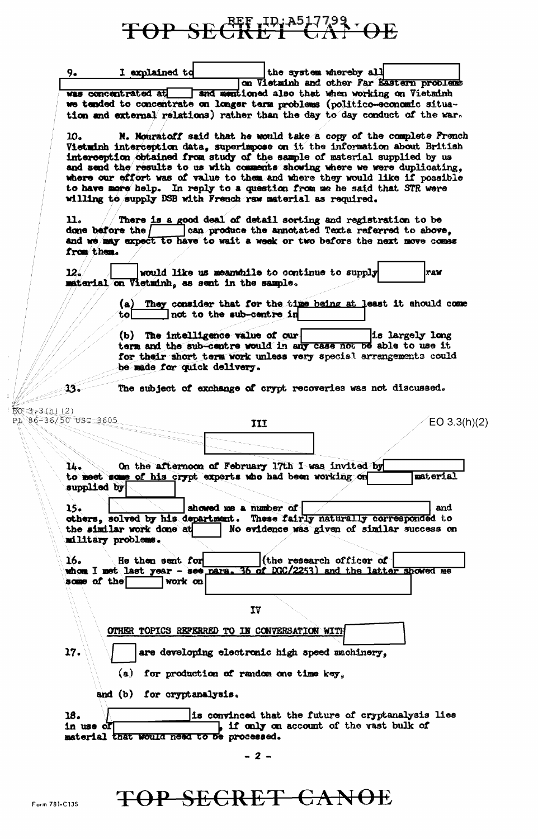# TOP SECRET CAP OE

| 9.                              | I explained to             |                                               | the system whereby all                                                                                                                                   |
|---------------------------------|----------------------------|-----------------------------------------------|----------------------------------------------------------------------------------------------------------------------------------------------------------|
|                                 |                            |                                               | on Vietminh and other Far Eastern problems                                                                                                               |
|                                 |                            |                                               | was concentrated at sand mentioned also that when working on Vietminh<br>we tended to concentrate on longer term problems (politico-economic situa-      |
|                                 |                            |                                               | tion and external relations) rather than the day to day conduct of the war.                                                                              |
|                                 |                            |                                               |                                                                                                                                                          |
| 10.                             |                            |                                               | N. Mouratoff said that he would take a copy of the complete French                                                                                       |
|                                 |                            |                                               | Vietminh interception data, superimpose on it the information about British                                                                              |
|                                 |                            |                                               | interception obtained from study of the sample of material supplied by us<br>and send the results to us with comments showing where we were duplicating, |
|                                 |                            |                                               | where our effort was of value to them and where they would like if possible                                                                              |
|                                 |                            |                                               | to have more help. In reply to a question from me he said that STR were                                                                                  |
|                                 |                            |                                               | willing to supply DSB with French raw material as required.                                                                                              |
| u.                              | done before the /          |                                               | There is a good deal of detail sorting and registration to be<br>can produce the annotated Texts referred to above,                                      |
|                                 |                            |                                               | and we may expect to have to wait a week or two before the next move comes                                                                               |
| from them.                      |                            |                                               |                                                                                                                                                          |
|                                 |                            |                                               |                                                                                                                                                          |
| 12.                             |                            | material on Vietminh, as sent in the sample.  | would like us meanwhile to continue to supply<br>raw                                                                                                     |
|                                 | (a)                        |                                               | They consider that for the time being at least it should come                                                                                            |
|                                 | tol                        | not to the sub-centre in                      |                                                                                                                                                          |
|                                 |                            |                                               |                                                                                                                                                          |
|                                 |                            | (b) The intelligence value of our             | is largely long                                                                                                                                          |
|                                 |                            |                                               | term and the sub-centre would in any case not be able to use it<br>for their short term work unless very special arrangements could                      |
|                                 |                            | be made for quick delivery.                   |                                                                                                                                                          |
|                                 |                            |                                               |                                                                                                                                                          |
| 13.                             |                            |                                               | The subject of exchange of crypt recoveries was not discussed.                                                                                           |
|                                 |                            |                                               |                                                                                                                                                          |
| : 3 (h) (2)<br>6–36/50 USC 3605 |                            | III                                           | EO 3.3(h)(2)                                                                                                                                             |
|                                 |                            |                                               |                                                                                                                                                          |
|                                 |                            |                                               |                                                                                                                                                          |
|                                 |                            |                                               |                                                                                                                                                          |
| 14.                             |                            |                                               | On the afternoon of February 17th I was invited by                                                                                                       |
|                                 |                            |                                               | material<br>to meet some of his crypt experts who had been working on                                                                                    |
| supplied by                     |                            |                                               |                                                                                                                                                          |
| 15.                             |                            | showed me a number of                         | and                                                                                                                                                      |
|                                 |                            |                                               | others, solved by his department. These fairly naturally corresponded to                                                                                 |
|                                 | the similar work done at   |                                               | No evidence was given of similar success on                                                                                                              |
|                                 | military problems.         |                                               |                                                                                                                                                          |
| 16.                             | He then sent for           |                                               | (the research officer of                                                                                                                                 |
|                                 |                            |                                               | whom I met last year - see para. 36 of DGC/2253) and the latter showed me                                                                                |
| some of the                     | work on                    |                                               |                                                                                                                                                          |
|                                 |                            |                                               |                                                                                                                                                          |
|                                 |                            | IV                                            |                                                                                                                                                          |
|                                 |                            |                                               |                                                                                                                                                          |
|                                 |                            | OTHER TOPICS REFERRED TO IN CONVERSATION WITH |                                                                                                                                                          |
| 17.                             |                            |                                               | are developing electronic high speed machinery,                                                                                                          |
|                                 | (a)                        | for production of random one time key.        |                                                                                                                                                          |
|                                 | and (b) for cryptanalysis. |                                               |                                                                                                                                                          |
|                                 |                            |                                               |                                                                                                                                                          |
| 18.<br>in use of                |                            |                                               | is convinced that the future of cryptanalysis lies<br>if only on account of the vast bulk of                                                             |
|                                 |                            | material that would need to be processed.     |                                                                                                                                                          |
|                                 |                            |                                               |                                                                                                                                                          |
|                                 |                            | $-2-$                                         |                                                                                                                                                          |
|                                 |                            |                                               |                                                                                                                                                          |
|                                 |                            |                                               |                                                                                                                                                          |

EQ 3  $\mathbf{P} \subseteq \mathcal{B}$ 

TOP SECRET CANOE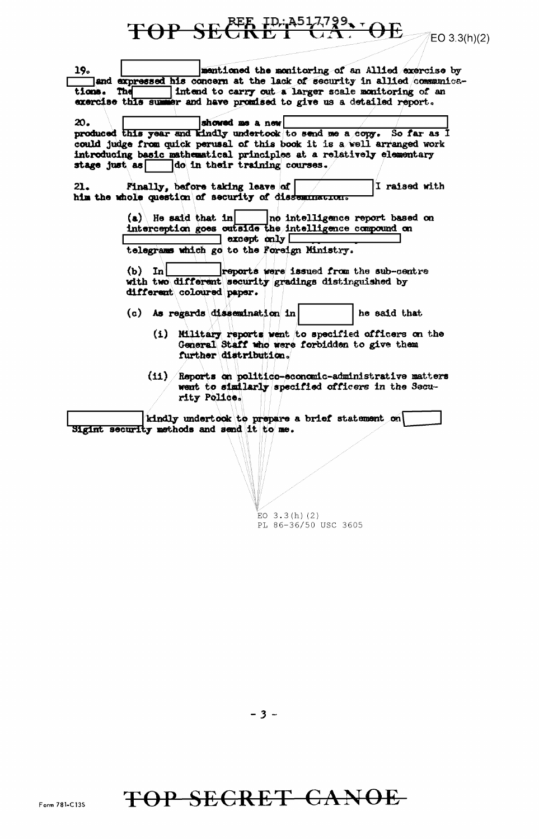REE ID: A517799, DE **TOP SE**  $EO 3.3(h)(2)$ mentioned the monitoring of an Allied exercise by 19. and expressed his concern at the lack of security in allied communica-Intend to carry out a larger scale monitoring of an tions. The exercise this summer and have promised to give us a detailed report. 20. showed me a new produced this year and kindly undertook to send me a copy. So far as I could judge from quick perusal of this book it is a well arranged work introducing basic mathematical principles at a relatively elementary stage just as  $\Box$ do in their training courses. I raised with Finally, before taking leave of 21. him the whole question of security of dissemination.  $(a)$  He said that in no intelligence report based on interception goes outside the intelligence compound on  $\Box$  except only  $\Box$ telegrams which go to the Foreign Ministry.  $(b)$  In reports were issued from the sub-centre with two different security gradings distinguished by different coloured paper. (c) As regards dissemination in he said that (i) Military reports went to specified officers on the General Staff who were forbidden to give them further distribution. (ii) /Reports on politico-economic-administrative matters went to similarly specified officers in the Security Police. kindly undertook to prepare a brief statement on Sigint security methods and send it to me.

 $EO$  3.3(h)(2) PL 86-36/50 USC 3605

TOP SECRET CANOE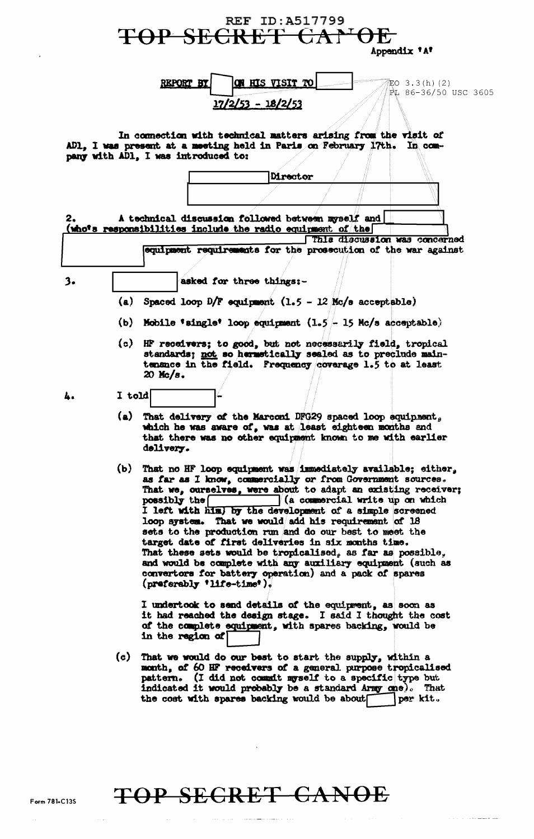| <b>REF ID: A517799</b><br><del>TOP SECRET CA</del><br>Appendix 'A'                                                                                            |        |                                                                                                                                                                                                                                                                                                                                                                                                                                                                                                                                                                                                                                                                                                           |  |  |
|---------------------------------------------------------------------------------------------------------------------------------------------------------------|--------|-----------------------------------------------------------------------------------------------------------------------------------------------------------------------------------------------------------------------------------------------------------------------------------------------------------------------------------------------------------------------------------------------------------------------------------------------------------------------------------------------------------------------------------------------------------------------------------------------------------------------------------------------------------------------------------------------------------|--|--|
| ON HIS VISIT TO<br>REPORT BY<br>EO 3.3(h)(2)<br>PL 86-36/50 USC 3605<br>$17/2/53 - 18/2/53$<br>In connection with technical matters arising from the visit of |        |                                                                                                                                                                                                                                                                                                                                                                                                                                                                                                                                                                                                                                                                                                           |  |  |
| AD1, I was present at a meeting held in Paris on February 17th. In com-<br>pany with AD1, I was introduced to:                                                |        |                                                                                                                                                                                                                                                                                                                                                                                                                                                                                                                                                                                                                                                                                                           |  |  |
|                                                                                                                                                               |        | Director                                                                                                                                                                                                                                                                                                                                                                                                                                                                                                                                                                                                                                                                                                  |  |  |
| A technical discussion followed between myself and<br>2.<br>(who's responsibilities include the radio equipment of the<br>This discussion was concerned       |        |                                                                                                                                                                                                                                                                                                                                                                                                                                                                                                                                                                                                                                                                                                           |  |  |
|                                                                                                                                                               |        | equipment requirements for the prosecution of the war against                                                                                                                                                                                                                                                                                                                                                                                                                                                                                                                                                                                                                                             |  |  |
|                                                                                                                                                               |        |                                                                                                                                                                                                                                                                                                                                                                                                                                                                                                                                                                                                                                                                                                           |  |  |
| 3.                                                                                                                                                            |        | asked for three things:-                                                                                                                                                                                                                                                                                                                                                                                                                                                                                                                                                                                                                                                                                  |  |  |
|                                                                                                                                                               | (a)    | Spaced loop $D/F$ equipment $(1.5 - 12)$ Mc/s acceptable)                                                                                                                                                                                                                                                                                                                                                                                                                                                                                                                                                                                                                                                 |  |  |
|                                                                                                                                                               |        | (b) Mobile 'single' loop equipment $(1.5 - 15$ Mc/s acceptable)                                                                                                                                                                                                                                                                                                                                                                                                                                                                                                                                                                                                                                           |  |  |
|                                                                                                                                                               |        | (c) HF receivers; to good, but not necessarily field, tropical<br>standards; not so hermstically sealed as to preclude main-<br>tenance in the field. Prequency coverage 1.5 to at least<br>$20$ Mc/s.                                                                                                                                                                                                                                                                                                                                                                                                                                                                                                    |  |  |
| 4.                                                                                                                                                            | I told |                                                                                                                                                                                                                                                                                                                                                                                                                                                                                                                                                                                                                                                                                                           |  |  |
|                                                                                                                                                               |        | (a) That delivery of the Marconi DFG29 spaced loop equipment,<br>which he was aware of, was at least eighteen months and<br>that there was no other equipment known to me with earlier<br>delivery.                                                                                                                                                                                                                                                                                                                                                                                                                                                                                                       |  |  |
|                                                                                                                                                               | (b)    | That no HF loop equipment was immediately available; either,<br>as far as I know, commercially or from Government sources.<br>That we, corselves, were about to adapt an existing receiver;<br>(a commercial write up on which<br>possibly the<br>I left with him, by the development of a simple screened<br>loop system. That we would add his requirement of 18<br>sets to the production run and do our best to meet the<br>target date of first deliveries in six months time.<br>That these sets would be tropicalised, as far as possible,<br>and would be complete with any auxiliary equipment (such as<br>convertors for battery operation) and a pack of spares<br>$(nrefersably 'life-time')$ |  |  |
|                                                                                                                                                               |        | I undertook to send details of the equiprent, as soon as<br>it had reached the design stage. I said I thought the cost<br>of the complete equipment, with spares backing, would be<br>in the region of                                                                                                                                                                                                                                                                                                                                                                                                                                                                                                    |  |  |
|                                                                                                                                                               |        | (c) That we would do our best to start the supply, within a<br>month, of 60 HF receivers of a general purpose tropicalised<br>pattern. (I did not commut myself to a specific type but<br>indicated it would probably be a standard Army one). That<br>the cost with spares backing would be about<br>per kit.                                                                                                                                                                                                                                                                                                                                                                                            |  |  |

## TOP SECRET CANOE

 $\hat{f}$  , and  $\hat{f}$  , and  $\hat{f}$  , and the component of the map

 $\mathcal{L}^{\text{max}}_{\text{max}}$  and  $\mathcal{L}^{\text{max}}_{\text{max}}$ 

 $\sim$   $\sim$ 

 $\bar{\mathcal{A}}$ 

 $\mathbf{z}$  .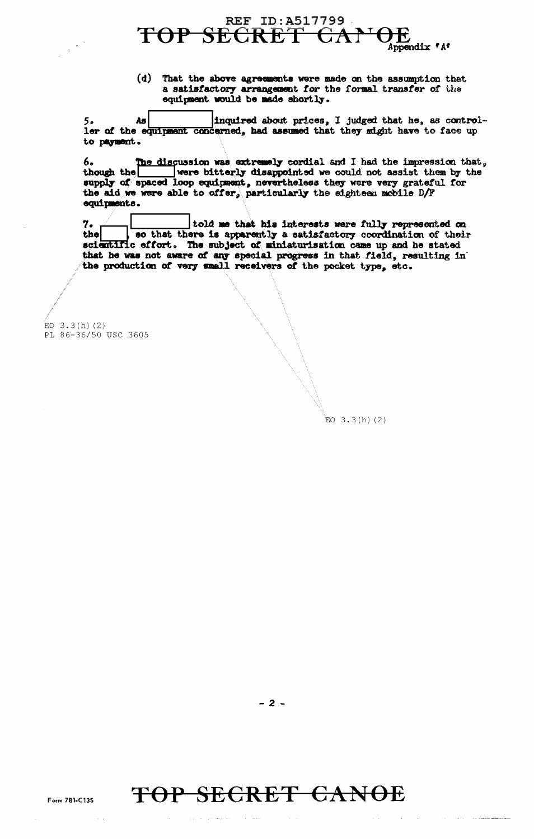

 $(d)$  That the above agreements were made on the assumption that a satisfactory arrangement for the formal transfer of the equipment would be made shortly.

As inquired about prices, I judged that he, as control-5, ler of the equipment concerned, had assumed that they might have to face up to payment.

The discussion was extremely cordial and I had the impression that, 6. were bitterly disappointed we could not assist them by the though the supply of spaced loop equipment, nevertheless they were very grateful for the aid we were able to offer, particularly the eighteen mobile D/F equipments.

told me that his interests were fully represented on so that there is apparently a satisfactory coordination of their 7. the scientific effort. The subject of miniaturisation came up and he stated that he was not aware of any special progress in that field, resulting in the production of very small receivers of the pocket type, etc.

 $EO$  3.3(h)(2) PL 86-36/50 USC 3605

 $EO$  3.3(h)(2)